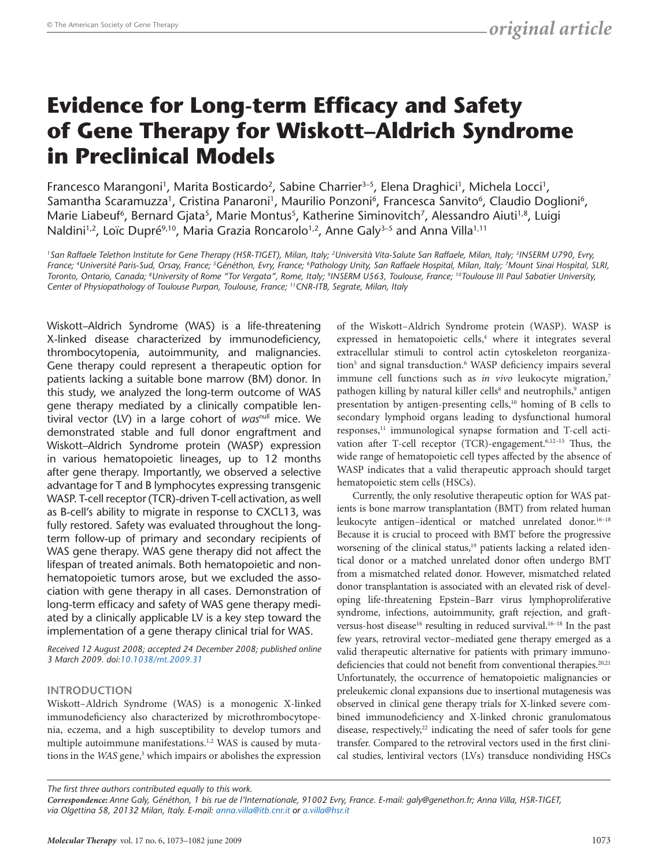# **Evidence for Long-term Efficacy and Safety of Gene Therapy for Wiskott–Aldrich Syndrome in Preclinical Models**

Francesco Marangoni<sup>1</sup>, Marita Bosticardo<sup>2</sup>, Sabine Charrier<sup>3-5</sup>, Elena Draghici<sup>1</sup>, Michela Locci<sup>1</sup>, Samantha Scaramuzza<sup>1</sup>, Cristina Panaroni<sup>1</sup>, Maurilio Ponzoni<sup>6</sup>, Francesca Sanvito<sup>6</sup>, Claudio Doglioni<sup>6</sup>, Marie Liabeuf<sup>6</sup>, Bernard Gjata<sup>5</sup>, Marie Montus<sup>5</sup>, Katherine Siminovitch<sup>7</sup>, Alessandro Aiuti<sup>1,8</sup>, Luigi Naldini<sup>1,2</sup>, Loïc Dupré<sup>9,10</sup>, Maria Grazia Roncarolo<sup>1,2</sup>, Anne Galy<sup>3-5</sup> and Anna Villa<sup>1,11</sup>

*1San Raffaele Telethon Institute for Gene Therapy (HSR-TIGET), Milan, Italy; 2Università Vita-Salute San Raffaele, Milan, Italy; 3INSERM U790, Evry, France; 4Université Paris-Sud, Orsay, France; 5Généthon, Evry, France; 6Pathology Unity, San Raffaele Hospital, Milan, Italy; 7Mount Sinai Hospital, SLRI, Toronto, Ontario, Canada; 8University of Rome "Tor Vergata", Rome, Italy; 9INSERM U563, Toulouse, France; 10Toulouse III Paul Sabatier University, Center of Physiopathology of Toulouse Purpan, Toulouse, France; 11CNR-ITB, Segrate, Milan, Italy* 

Wiskott–Aldrich Syndrome (WAS) is a life-threatening X-linked disease characterized by immunodeficiency, thrombocytopenia, autoimmunity, and malignancies. Gene therapy could represent a therapeutic option for patients lacking a suitable bone marrow (BM) donor. In this study, we analyzed the long-term outcome of WAS gene therapy mediated by a clinically compatible lentiviral vector (LV) in a large cohort of *was*null mice. We demonstrated stable and full donor engraftment and Wiskott–Aldrich Syndrome protein (WASP) expression in various hematopoietic lineages, up to 12 months after gene therapy. Importantly, we observed a selective advantage for T and B lymphocytes expressing transgenic WASP. T-cell receptor (TCR)-driven T-cell activation, as well as B-cell's ability to migrate in response to CXCL13, was fully restored. Safety was evaluated throughout the longterm follow-up of primary and secondary recipients of WAS gene therapy. WAS gene therapy did not affect the lifespan of treated animals. Both hematopoietic and nonhematopoietic tumors arose, but we excluded the association with gene therapy in all cases. Demonstration of long-term efficacy and safety of WAS gene therapy mediated by a clinically applicable LV is a key step toward the implementation of a gene therapy clinical trial for WAS.

*Received 12 August 2008; accepted 24 December 2008; published online 3 March 2009. doi[:10.1038/mt.2009.31](http://www.nature.com/doifinder/10.1038/mt.2009.31)*

## **Introduction**

Wiskott–Aldrich Syndrome (WAS) is a monogenic X-linked immunodeficiency also characterized by microthrombocytopenia, eczema, and a high susceptibility to develop tumors and multiple autoimmune manifestations.<sup>1,2</sup> WAS is caused by mutations in the *WAS* gene,<sup>3</sup> which impairs or abolishes the expression of the Wiskott–Aldrich Syndrome protein (WASP). WASP is expressed in hematopoietic cells,<sup>4</sup> where it integrates several extracellular stimuli to control actin cytoskeleton reorganization<sup>5</sup> and signal transduction.<sup>6</sup> WASP deficiency impairs several immune cell functions such as *in vivo* leukocyte migration,<sup>7</sup> pathogen killing by natural killer cells<sup>8</sup> and neutrophils,<sup>9</sup> antigen presentation by antigen-presenting cells,<sup>10</sup> homing of B cells to secondary lymphoid organs leading to dysfunctional humoral responses,<sup>11</sup> immunological synapse formation and T-cell activation after T-cell receptor (TCR)-engagement.<sup>6,12-15</sup> Thus, the wide range of hematopoietic cell types affected by the absence of WASP indicates that a valid therapeutic approach should target hematopoietic stem cells (HSCs).

Currently, the only resolutive therapeutic option for WAS patients is bone marrow transplantation (BMT) from related human leukocyte antigen-identical or matched unrelated donor.<sup>16-18</sup> Because it is crucial to proceed with BMT before the progressive worsening of the clinical status,<sup>19</sup> patients lacking a related identical donor or a matched unrelated donor often undergo BMT from a mismatched related donor. However, mismatched related donor transplantation is associated with an elevated risk of developing life-threatening Epstein–Barr virus lymphoproliferative syndrome, infections, autoimmunity, graft rejection, and graftversus-host disease<sup>16</sup> resulting in reduced survival.<sup>16-18</sup> In the past few years, retroviral vector–mediated gene therapy emerged as a valid therapeutic alternative for patients with primary immunodeficiencies that could not benefit from conventional therapies.<sup>20,21</sup> Unfortunately, the occurrence of hematopoietic malignancies or preleukemic clonal expansions due to insertional mutagenesis was observed in clinical gene therapy trials for X-linked severe combined immunodeficiency and X-linked chronic granulomatous disease, respectively,<sup>22</sup> indicating the need of safer tools for gene transfer. Compared to the retroviral vectors used in the first clinical studies, lentiviral vectors (LVs) transduce nondividing HSCs

*The first three authors contributed equally to this work.*

*Correspondence: Anne Galy, Généthon, 1 bis rue de l'Internationale, 91002 Evry, France. E-mail: galy@genethon.fr; Anna Villa, HSR-TIGET, via Olgettina 58, 20132 Milan, Italy. E-mail: [anna.villa@itb.cnr.it](mailto:anna.villa@itb.cnr.it) or [a.villa@hsr.it](mailto:a.villa@hsr.it)*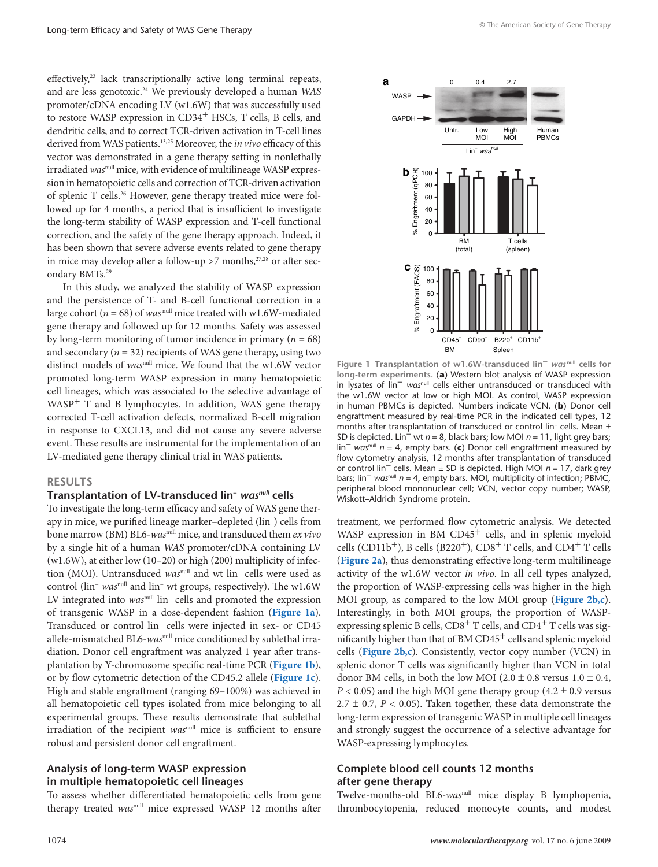<span id="page-1-0"></span>effectively,<sup>23</sup> lack transcriptionally active long terminal repeats, and are less genotoxic.24 We previously developed a human *WAS* promoter/cDNA encoding LV (w1.6W) that was successfully used to restore WASP expression in CD34<sup>+</sup> HSCs, T cells, B cells, and dendritic cells, and to correct TCR-driven activation in T-cell lines derived from WAS patients.13,25 Moreover, the *in vivo* efficacy of this vector was demonstrated in a gene therapy setting in nonlethally irradiated was<sup>null</sup> mice, with evidence of multilineage WASP expression in hematopoietic cells and correction of TCR-driven activation of splenic T cells.26 However, gene therapy treated mice were followed up for 4 months, a period that is insufficient to investigate the long-term stability of WASP expression and T-cell functional correction, and the safety of the gene therapy approach. Indeed, it has been shown that severe adverse events related to gene therapy in mice may develop after a follow-up  $>7$  months,  $27,28$  or after secondary BMTs.29

In this study, we analyzed the stability of WASP expression and the persistence of T- and B-cell functional correction in a large cohort ( $n = 68$ ) of *was* null mice treated with w1.6W-mediated gene therapy and followed up for 12 months. Safety was assessed by long-term monitoring of tumor incidence in primary ( $n = 68$ ) and secondary  $(n = 32)$  recipients of WAS gene therapy, using two distinct models of *was*null mice. We found that the w1.6W vector promoted long-term WASP expression in many hematopoietic cell lineages, which was associated to the selective advantage of WASP+ T and B lymphocytes. In addition, WAS gene therapy corrected T-cell activation defects, normalized B-cell migration in response to CXCL13, and did not cause any severe adverse event. These results are instrumental for the implementation of an LV-mediated gene therapy clinical trial in WAS patients.

#### **Results**

### **Transplantation of LV-transduced lin−** *wasnull* **cells**

To investigate the long-term efficacy and safety of WAS gene therapy in mice, we purified lineage marker–depleted (lin−) cells from bone marrow (BM) BL6-*was*null mice, and transduced them *ex vivo* by a single hit of a human *WAS* promoter/cDNA containing LV (w1.6W), at either low (10–20) or high (200) multiplicity of infection (MOI). Untransduced *was*null and wt lin− cells were used as control (lin− *was*null and lin− wt groups, respectively). The w1.6W LV integrated into *was*null lin− cells and promoted the expression of transgenic WASP in a dose-dependent fashion (**Figure 1a**). Transduced or control lin− cells were injected in sex- or CD45 allele-mismatched BL6-*was*null mice conditioned by sublethal irradiation. Donor cell engraftment was analyzed 1 year after transplantation by Y-chromosome specific real-time PCR (**Figure 1b**), or by flow cytometric detection of the CD45.2 allele (**Figure 1c**). High and stable engraftment (ranging 69–100%) was achieved in all hematopoietic cell types isolated from mice belonging to all experimental groups. These results demonstrate that sublethal irradiation of the recipient *was*<sup>null</sup> mice is sufficient to ensure robust and persistent donor cell engraftment.

## **Analysis of long-term WASP expression in multiple hematopoietic cell lineages**

To assess whether differentiated hematopoietic cells from gene therapy treated *was*null mice expressed WASP 12 months after



**Figure 1 Transplantation of w1.6W-transduced lin−** *was* **null cells for long-term experiments.** (**a**) Western blot analysis of WASP expression in lysates of lin− *was*null cells either untransduced or transduced with the w1.6W vector at low or high MOI. As control, WASP expression in human PBMCs is depicted. Numbers indicate VCN. (**b**) Donor cell engraftment measured by real-time PCR in the indicated cell types, 12 months after transplantation of transduced or control lin− cells. Mean ± SD is depicted. Lin− wt *n* = 8, black bars; low MOI *n* = 11, light grey bars; lin− *was*null *n* = 4, empty bars. (**c**) Donor cell engraftment measured by flow cytometry analysis, 12 months after transplantation of transduced or control lin− cells. Mean ± SD is depicted. High MOI *n* = 17, dark grey bars; lin− *was*null *n* = 4, empty bars. MOI, multiplicity of infection; PBMC, peripheral blood mononuclear cell; VCN, vector copy number; WASP, Wiskott–Aldrich Syndrome protein.

treatment, we performed flow cytometric analysis. We detected WASP expression in BM  $CD45<sup>+</sup>$  cells, and in splenic myeloid cells (CD11b<sup>+</sup>), B cells (B220<sup>+</sup>), CD8<sup>+</sup> T cells, and CD4<sup>+</sup> T cells (**[Figure](#page-2-0) 2a**), thus demonstrating effective long-term multilineage activity of the w1.6W vector *in vivo*. In all cell types analyzed, the proportion of WASP-expressing cells was higher in the high MOI group, as compared to the low MOI group (**[Figure](#page-2-0) 2b,c)**. Interestingly, in both MOI groups, the proportion of WASPexpressing splenic B cells, CD8<sup>+</sup> T cells, and CD4<sup>+</sup> T cells was significantly higher than that of BM CD45<sup>+</sup> cells and splenic myeloid cells (**[Figure](#page-2-0) 2b,c**). Consistently, vector copy number (VCN) in splenic donor T cells was significantly higher than VCN in total donor BM cells, in both the low MOI ( $2.0 \pm 0.8$  versus  $1.0 \pm 0.4$ ,  $P < 0.05$ ) and the high MOI gene therapy group  $(4.2 \pm 0.9 \text{ versus}$ 2.7  $\pm$  0.7, *P* < 0.05). Taken together, these data demonstrate the long-term expression of transgenic WASP in multiple cell lineages and strongly suggest the occurrence of a selective advantage for WASP-expressing lymphocytes.

# **Complete blood cell counts 12 months after gene therapy**

Twelve-months-old BL6-*was*null mice display B lymphopenia, thrombocytopenia, reduced monocyte counts, and modest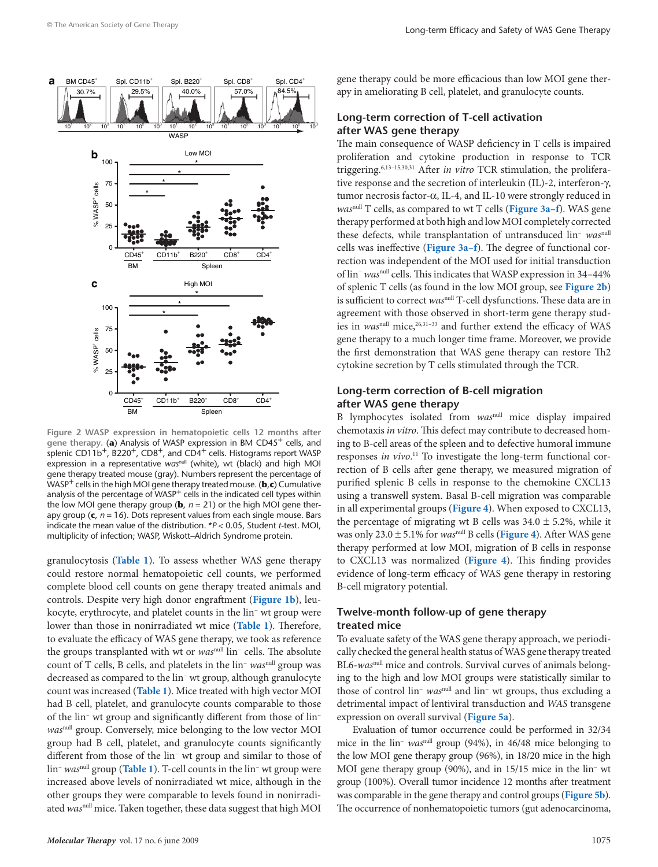<span id="page-2-0"></span>

**Figure 2 WASP expression in hematopoietic cells 12 months after**  gene therapy. (a) Analysis of WASP expression in BM CD45<sup>+</sup> cells, and splenic CD11b<sup>+</sup>, B220<sup>+</sup>, CD8<sup>+</sup>, and CD4<sup>+</sup> cells. Histograms report WASP expression in a representative *was*<sup>null</sup> (white), wt (black) and high MOI gene therapy treated mouse (gray). Numbers represent the percentage of WASP+ cells in the high MOI gene therapy treated mouse. (**b**,**c**) Cumulative analysis of the percentage of WASP<sup>+</sup> cells in the indicated cell types within the low MOI gene therapy group ( $\mathbf{b}$ ,  $n = 21$ ) or the high MOI gene therapy group (**c**, *n* = 16). Dots represent values from each single mouse. Bars indicate the mean value of the distribution. \**P* < 0.05, Student *t*-test. MOI, multiplicity of infection; WASP, Wiskott–Aldrich Syndrome protein.

granulocytosis (**[Table](#page-3-0) 1**). To assess whether WAS gene therapy could restore normal hematopoietic cell counts, we performed complete blood cell counts on gene therapy treated animals and controls. Despite very high donor engraftment (**[Figure](#page-1-0) 1b**), leukocyte, erythrocyte, and platelet counts in the lin− wt group were lower than those in nonirradiated wt mice (**[Table](#page-3-0) 1**). Therefore, to evaluate the efficacy of WAS gene therapy, we took as reference the groups transplanted with wt or *was*null lin− cells. The absolute count of T cells, B cells, and platelets in the lin− *was*null group was decreased as compared to the lin− wt group, although granulocyte count was increased (**[Table](#page-3-0) 1**). Mice treated with high vector MOI had B cell, platelet, and granulocyte counts comparable to those of the lin− wt group and significantly different from those of lin− *was*null group. Conversely, mice belonging to the low vector MOI group had B cell, platelet, and granulocyte counts significantly different from those of the lin− wt group and similar to those of lin− *was*null group (**[Table](#page-3-0) 1**). T-cell counts in the lin− wt group were increased above levels of nonirradiated wt mice, although in the other groups they were comparable to levels found in nonirradiated *was*null mice. Taken together, these data suggest that high MOI gene therapy could be more efficacious than low MOI gene therapy in ameliorating B cell, platelet, and granulocyte counts.

# **Long-term correction of T-cell activation after WAS gene therapy**

The main consequence of WASP deficiency in T cells is impaired proliferation and cytokine production in response to TCR triggering.6,13–15,30,31 After *in vitro* TCR stimulation, the proliferative response and the secretion of interleukin (IL)-2, interferon-γ, tumor necrosis factor-α, IL-4, and IL-10 were strongly reduced in *was*null T cells, as compared to wt T cells (**[Figure](#page-3-0) 3a–f**). WAS gene therapy performed at both high and low MOI completely corrected these defects, while transplantation of untransduced lin− *was*null cells was ineffective (**[Figure](#page-3-0) 3a–f**). The degree of functional correction was independent of the MOI used for initial transduction of lin− *was*null cells. This indicates that WASP expression in 34–44% of splenic T cells (as found in the low MOI group, see **Figure 2b**) is sufficient to correct *was*null T-cell dysfunctions. These data are in agreement with those observed in short-term gene therapy studies in was<sup>null</sup> mice,<sup>26,31-33</sup> and further extend the efficacy of WAS gene therapy to a much longer time frame. Moreover, we provide the first demonstration that WAS gene therapy can restore Th2 cytokine secretion by T cells stimulated through the TCR.

# **Long-term correction of B-cell migration after WAS gene therapy**

B lymphocytes isolated from *was*null mice display impaired chemotaxis *in vitro*. This defect may contribute to decreased homing to B-cell areas of the spleen and to defective humoral immune responses *in vivo*.<sup>11</sup> To investigate the long-term functional correction of B cells after gene therapy, we measured migration of purified splenic B cells in response to the chemokine CXCL13 using a transwell system. Basal B-cell migration was comparable in all experimental groups (**[Figure](#page-3-0) 4**). When exposed to CXCL13, the percentage of migrating wt B cells was  $34.0 \pm 5.2$ %, while it was only 23.0 ± 5.1% for *was*null B cells (**[Figure](#page-3-0) 4**). After WAS gene therapy performed at low MOI, migration of B cells in response to CXCL13 was normalized (**[Figure](#page-3-0) 4**). This finding provides evidence of long-term efficacy of WAS gene therapy in restoring B-cell migratory potential.

# **Twelve-month follow-up of gene therapy treated mice**

To evaluate safety of the WAS gene therapy approach, we periodically checked the general health status of WAS gene therapy treated BL6-*was*null mice and controls. Survival curves of animals belonging to the high and low MOI groups were statistically similar to those of control lin− *was*null and lin− wt groups, thus excluding a detrimental impact of lentiviral transduction and *WAS* transgene expression on overall survival (**[Figure](#page-4-0) 5a**).

Evaluation of tumor occurrence could be performed in 32/34 mice in the lin− *was*null group (94%), in 46/48 mice belonging to the low MOI gene therapy group (96%), in 18/20 mice in the high MOI gene therapy group (90%), and in 15/15 mice in the lin− wt group (100%). Overall tumor incidence 12 months after treatment was comparable in the gene therapy and control groups (**[Figure](#page-4-0) 5b**). The occurrence of nonhematopoietic tumors (gut adenocarcinoma,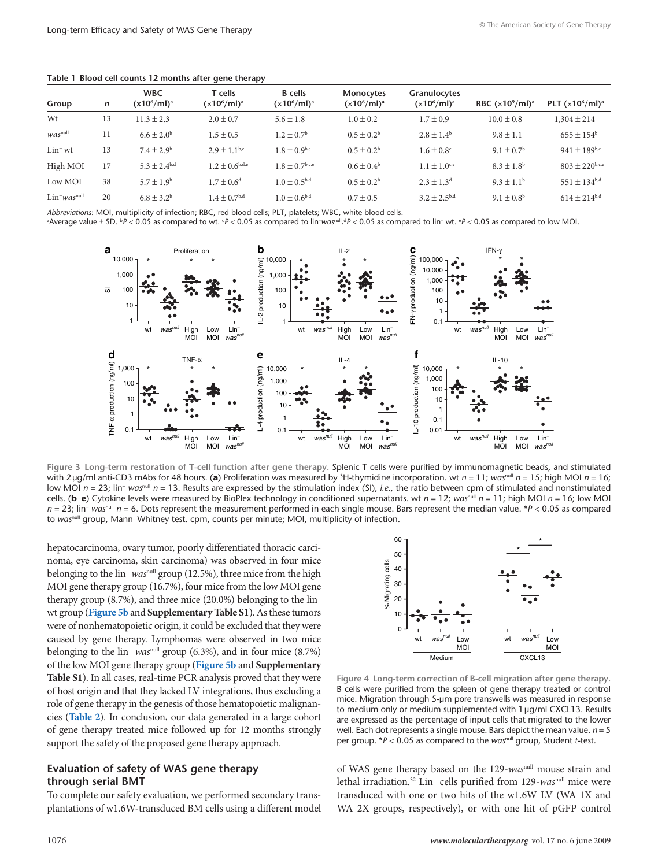<span id="page-3-0"></span>

|  |  |  |  |  |  |  |  | Table 1 Blood cell counts 12 months after gene therapy |
|--|--|--|--|--|--|--|--|--------------------------------------------------------|
|--|--|--|--|--|--|--|--|--------------------------------------------------------|

| Group                                  | n  | <b>WBC</b><br>$(x10^6\text{/ml})^a$ | T cells<br>$(x10^6/ml)^a$      | <b>B</b> cells<br>(x10 <sup>6</sup> /ml) <sup>a</sup> | Monocytes<br>(x10 <sup>6</sup> /ml) <sup>a</sup> | Granulocytes<br>$(x10^6/ml)^a$ | RBC $(x10^9/ml)^a$         | PLT $(x10^6$ /ml) <sup>a</sup> |
|----------------------------------------|----|-------------------------------------|--------------------------------|-------------------------------------------------------|--------------------------------------------------|--------------------------------|----------------------------|--------------------------------|
| Wt                                     | 13 | $11.3 \pm 2.3$                      | $2.0 \pm 0.7$                  | $5.6 \pm 1.8$                                         | $1.0 \pm 0.2$                                    | $1.7 \pm 0.9$                  | $10.0 \pm 0.8$             | $1,304 \pm 214$                |
| $was$ <sup>null</sup>                  | 11 | $6.6 \pm 2.0^b$                     | $1.5 \pm 0.5$                  | $1.2 \pm 0.7$ <sup>b</sup>                            | $0.5 \pm 0.2^b$                                  | $2.8 \pm 1.4^{\circ}$          | $9.8 \pm 1.1$              | $655 \pm 154$ <sup>b</sup>     |
| $Lin^-$ wt                             | 13 | $7.4 \pm 2.9^{\rm b}$               | $2.9 \pm 1.1$ <sup>b,c</sup>   | $1.8 \pm 0.9$ <sup>b,c</sup>                          | $0.5 \pm 0.2^b$                                  | $1.6 \pm 0.8$ <sup>c</sup>     | $9.1 \pm 0.7^{\rm b}$      | 941 ± 189b,c                   |
| High MOI                               | 17 | $5.3 \pm 2.4^{b,d}$                 | $1.2 \pm 0.6$ <sup>b,d,e</sup> | $1.8 \pm 0.7$ <sup>b,c,e</sup>                        | $0.6 \pm 0.4^{\rm b}$                            | $1.1 \pm 1.0$ <sup>c,e</sup>   | $8.3 \pm 1.8$ <sup>b</sup> | $803 \pm 220$ <sup>b,c,e</sup> |
| Low MOI                                | 38 | $5.7 \pm 1.9^b$                     | $1.7 \pm 0.6^d$                | $1.0 \pm 0.5^{b,d}$                                   | $0.5 \pm 0.2^b$                                  | $2.3 \pm 1.3^{d}$              | $9.3 \pm 1.1^{\circ}$      | $551 \pm 134^{b,d}$            |
| $Lin$ <sup>-</sup> was <sup>null</sup> | 20 | $6.8 \pm 3.2^b$                     | $1.4 \pm 0.7$ <sup>b,d</sup>   | $1.0 \pm 0.6^{b,d}$                                   | $0.7 \pm 0.5$                                    | $3.2 \pm 2.5^{b,d}$            | $9.1 \pm 0.8^{\rm b}$      | $614 \pm 214^{b,d}$            |

*Abbreviations*: MOI, multiplicity of infection; RBC, red blood cells; PLT, platelets; WBC, white blood cells.

<sup>a</sup>Average value ± SD. <sup>b</sup>P < 0.05 as compared to wt. *°P* < 0.05 as compared to lin−*was*<sup>null</sup>.<sup>4</sup>P < 0.05 as compared to lin− wt. *°P* < 0.05 as compared to low MOI.



**Figure 3 Long-term restoration of T-cell function after gene therapy.** Splenic T cells were purified by immunomagnetic beads, and stimulated with 2 μg/ml anti-CD3 mAbs for 48 hours. (a) Proliferation was measured by <sup>3</sup>H-thymidine incorporation. wt *n* = 11; *wαs<sup>null</sup> n* = 15; high MOI *n* = 16; low MOI *n* = 23; lin− *was*null *n* = 13. Results are expressed by the stimulation index (SI), *i.e.*, the ratio between cpm of stimulated and nonstimulated cells. (**) Cytokine levels were measured by BioPlex technology in conditioned supernatants. wt**  $n = 12$ **;** *was***<sup>null</sup>**  $n = 11$ **; high MOI**  $n = 16$ **; low MOI** *n* = 23; lin− *was*<sup>null</sup> *n* = 6. Dots represent the measurement performed in each single mouse. Bars represent the median value. \**P* < 0.05 as compared to was<sup>null</sup> group, Mann–Whitney test. cpm, counts per minute; MOI, multiplicity of infection.

hepatocarcinoma, ovary tumor, poorly differentiated thoracic carcinoma, eye carcinoma, skin carcinoma) was observed in four mice belonging to the lin− *was*null group (12.5%), three mice from the high MOI gene therapy group (16.7%), four mice from the low MOI gene therapy group (8.7%), and three mice (20.0%) belonging to the lin− wt group (**[Figure](#page-4-0) 5b** and **Supplementary Table S1**). As these tumors were of nonhematopoietic origin, it could be excluded that they were caused by gene therapy. Lymphomas were observed in two mice belonging to the lin− *was*null group (6.3%), and in four mice (8.7%) of the low MOI gene therapy group (**[Figure](#page-4-0) 5b** and **Supplementary Table S1**). In all cases, real-time PCR analysis proved that they were of host origin and that they lacked LV integrations, thus excluding a role of gene therapy in the genesis of those hematopoietic malignancies (**[Table](#page-5-0) 2**). In conclusion, our data generated in a large cohort of gene therapy treated mice followed up for 12 months strongly support the safety of the proposed gene therapy approach.

# **Evaluation of safety of WAS gene therapy through serial BMT**

To complete our safety evaluation, we performed secondary transplantations of w1.6W-transduced BM cells using a different model



**Figure 4 Long-term correction of B-cell migration after gene therapy.** B cells were purified from the spleen of gene therapy treated or control mice. Migration through 5-μm pore transwells was measured in response to medium only or medium supplemented with 1μg/ml CXCL13. Results are expressed as the percentage of input cells that migrated to the lower well. Each dot represents a single mouse. Bars depict the mean value. *n* = 5 per group. \**P* < 0.05 as compared to the *was*null group, Student *t*-test.

of WAS gene therapy based on the 129-*was*null mouse strain and lethal irradiation.32 Lin− cells purified from 129-*was*null mice were transduced with one or two hits of the w1.6W LV (WA 1X and WA 2X groups, respectively), or with one hit of pGFP control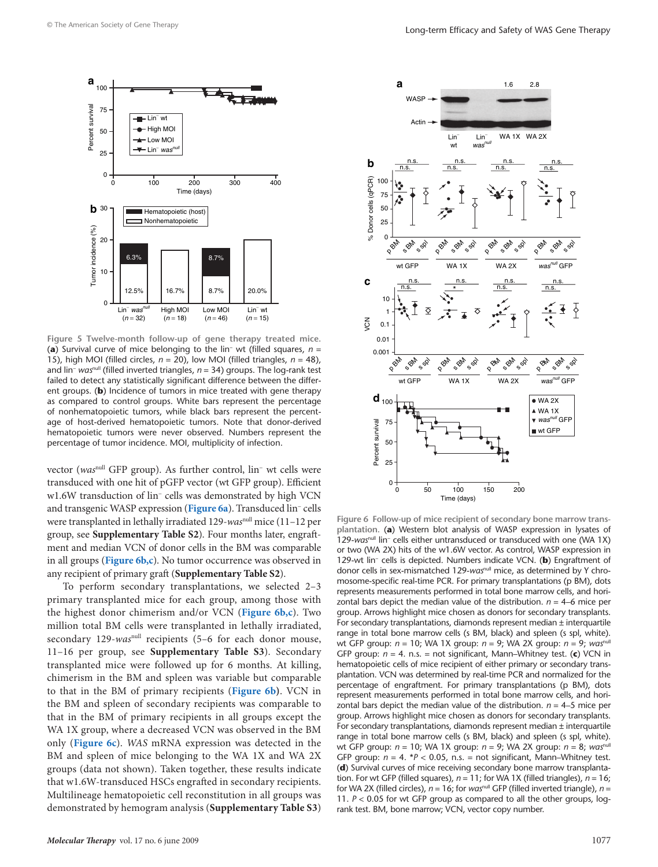<span id="page-4-0"></span>

**Figure 5 Twelve-month follow-up of gene therapy treated mice.** (**a**) Survival curve of mice belonging to the lin− wt (filled squares, *n* = 15), high MOI (filled circles, *n* = 20), low MOI (filled triangles, *n* = 48), and lin− *was*null (filled inverted triangles, *n* = 34) groups. The log-rank test failed to detect any statistically significant difference between the different groups. (**b**) Incidence of tumors in mice treated with gene therapy as compared to control groups. White bars represent the percentage of nonhematopoietic tumors, while black bars represent the percentage of host-derived hematopoietic tumors. Note that donor-derived hematopoietic tumors were never observed. Numbers represent the percentage of tumor incidence. MOI, multiplicity of infection.

vector (*was*null GFP group). As further control, lin− wt cells were transduced with one hit of pGFP vector (wt GFP group). Efficient w1.6W transduction of lin− cells was demonstrated by high VCN and transgenic WASP expression (**Figure 6a**). Transduced lin− cells were transplanted in lethally irradiated 129-*was*null mice (11–12 per group, see **Supplementary Table S2**). Four months later, engraftment and median VCN of donor cells in the BM was comparable in all groups (**Figure 6b,c**). No tumor occurrence was observed in any recipient of primary graft (**Supplementary Table S2**).

To perform secondary transplantations, we selected 2–3 primary transplanted mice for each group, among those with the highest donor chimerism and/or VCN (**Figure 6b,c**). Two million total BM cells were transplanted in lethally irradiated, secondary 129-*was*null recipients (5–6 for each donor mouse, 11–16 per group, see **Supplementary Table S3**). Secondary transplanted mice were followed up for 6 months. At killing, chimerism in the BM and spleen was variable but comparable to that in the BM of primary recipients (**Figure 6b)**. VCN in the BM and spleen of secondary recipients was comparable to that in the BM of primary recipients in all groups except the WA 1X group, where a decreased VCN was observed in the BM only (**Figure 6c**). *WAS* mRNA expression was detected in the BM and spleen of mice belonging to the WA 1X and WA 2X groups (data not shown). Taken together, these results indicate that w1.6W-transduced HSCs engrafted in secondary recipients. Multilineage hematopoietic cell reconstitution in all groups was demonstrated by hemogram analysis (**Supplementary Table S3**)



**Figure 6 Follow-up of mice recipient of secondary bone marrow transplantation.** (**a**) Western blot analysis of WASP expression in lysates of 129-was<sup>null</sup> lin<sup>-</sup> cells either untransduced or transduced with one (WA 1X) or two (WA 2X) hits of the w1.6W vector. As control, WASP expression in 129-wt lin− cells is depicted. Numbers indicate VCN. (**b**) Engraftment of donor cells in sex-mismatched 129-*was*null mice, as determined by Y chromosome-specific real-time PCR. For primary transplantations (p BM), dots represents measurements performed in total bone marrow cells, and horizontal bars depict the median value of the distribution.  $n = 4$ –6 mice per group. Arrows highlight mice chosen as donors for secondary transplants. For secondary transplantations, diamonds represent median ± interquartile range in total bone marrow cells (s BM, black) and spleen (s spl, white). wt GFP group: *n* = 10; WA 1X group: *n* = 9; WA 2X group: *n* = 9; *was*null GFP group: *n* = 4. n.s. = not significant, Mann–Whitney test. (**c**) VCN in hematopoietic cells of mice recipient of either primary or secondary transplantation. VCN was determined by real-time PCR and normalized for the percentage of engraftment. For primary transplantations (p BM), dots represent measurements performed in total bone marrow cells, and horizontal bars depict the median value of the distribution.  $n = 4-5$  mice per group. Arrows highlight mice chosen as donors for secondary transplants. For secondary transplantations, diamonds represent median ± interquartile range in total bone marrow cells (s BM, black) and spleen (s spl, white). wt GFP group: *n* = 10; WA 1X group: *n* = 9; WA 2X group: *n* = 8; *was*null GFP group:  $n = 4$ .  $*P < 0.05$ , n.s. = not significant, Mann–Whitney test. (**d**) Survival curves of mice receiving secondary bone marrow transplantation. For wt GFP (filled squares), *n* = 11; for WA 1X (filled triangles), *n* = 16; for WA 2X (filled circles), *n* = 16; for *was*null GFP (filled inverted triangle), *n* = 11. *P* < 0.05 for wt GFP group as compared to all the other groups, logrank test. BM, bone marrow; VCN, vector copy number.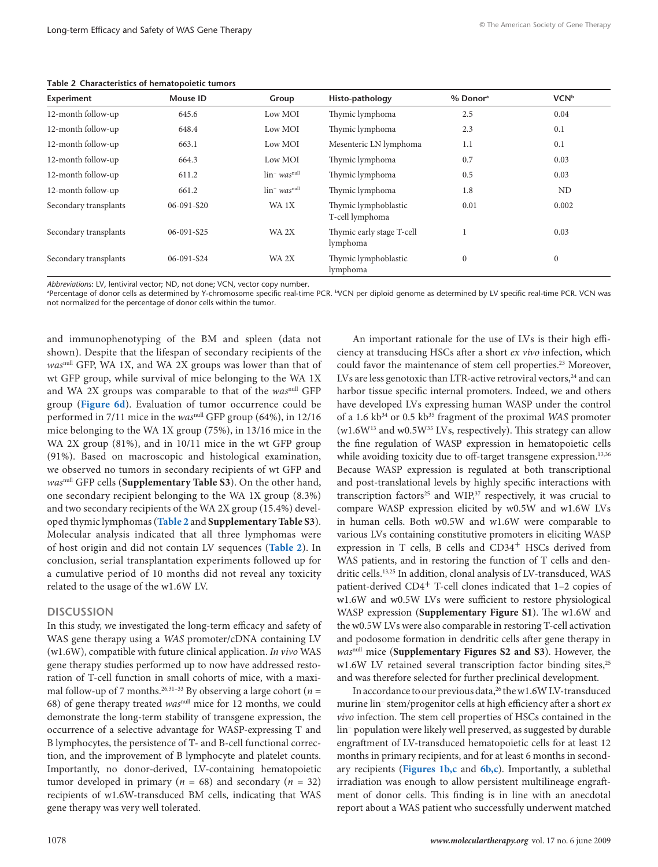| Experiment            | Mouse ID   | Group                                  | Histo-pathology                         | % Donor <sup>a</sup> | <b>VCN</b> b |
|-----------------------|------------|----------------------------------------|-----------------------------------------|----------------------|--------------|
| 12-month follow-up    | 645.6      | Low MOI                                | Thymic lymphoma                         | 2.5                  | 0.04         |
| 12-month follow-up    | 648.4      | Low MOI                                | Thymic lymphoma                         | 2.3                  | 0.1          |
| 12-month follow-up    | 663.1      | Low MOI                                | Mesenteric LN lymphoma                  | 1.1                  | 0.1          |
| 12-month follow-up    | 664.3      | Low MOI                                | Thymic lymphoma                         | 0.7                  | 0.03         |
| 12-month follow-up    | 611.2      | $\lim$ was <sup>null</sup>             | Thymic lymphoma                         | 0.5                  | 0.03         |
| 12-month follow-up    | 661.2      | $\ln$ <sup>-</sup> was <sup>null</sup> | Thymic lymphoma                         | 1.8                  | ND           |
| Secondary transplants | 06-091-S20 | WA 1X                                  | Thymic lymphoblastic<br>T-cell lymphoma | 0.01                 | 0.002        |
| Secondary transplants | 06-091-S25 | WA 2X                                  | Thymic early stage T-cell<br>lymphoma   |                      | 0.03         |
| Secondary transplants | 06-091-S24 | WA 2X                                  | Thymic lymphoblastic<br>lymphoma        | $\Omega$             | $\mathbf{0}$ |

<span id="page-5-0"></span>**Table 2 Characteristics of hematopoietic tumors**

*Abbreviations*: LV, lentiviral vector; ND, not done; VCN, vector copy number.

a Percentage of donor cells as determined by Y-chromosome specific real-time PCR. bVCN per diploid genome as determined by LV specific real-time PCR. VCN was not normalized for the percentage of donor cells within the tumor.

and immunophenotyping of the BM and spleen (data not shown). Despite that the lifespan of secondary recipients of the *was*null GFP, WA 1X, and WA 2X groups was lower than that of wt GFP group, while survival of mice belonging to the WA 1X and WA 2X groups was comparable to that of the *was*null GFP group (**[Figure](#page-4-0) 6d**). Evaluation of tumor occurrence could be performed in 7/11 mice in the *was*null GFP group (64%), in 12/16 mice belonging to the WA 1X group (75%), in 13/16 mice in the WA 2X group (81%), and in 10/11 mice in the wt GFP group (91%). Based on macroscopic and histological examination, we observed no tumors in secondary recipients of wt GFP and *was*null GFP cells (**Supplementary Table S3**). On the other hand, one secondary recipient belonging to the WA 1X group (8.3%) and two secondary recipients of the WA 2X group (15.4%) developed thymic lymphomas (**Table 2** and **Supplementary Table S3**). Molecular analysis indicated that all three lymphomas were of host origin and did not contain LV sequences (**Table 2**). In conclusion, serial transplantation experiments followed up for a cumulative period of 10 months did not reveal any toxicity related to the usage of the w1.6W LV.

## **Discussion**

In this study, we investigated the long-term efficacy and safety of WAS gene therapy using a *WAS* promoter/cDNA containing LV (w1.6W), compatible with future clinical application. *In vivo* WAS gene therapy studies performed up to now have addressed restoration of T-cell function in small cohorts of mice, with a maximal follow-up of 7 months.<sup>26,31-33</sup> By observing a large cohort ( $n =$ 68) of gene therapy treated *was*null mice for 12 months, we could demonstrate the long-term stability of transgene expression, the occurrence of a selective advantage for WASP-expressing T and B lymphocytes, the persistence of T- and B-cell functional correction, and the improvement of B lymphocyte and platelet counts. Importantly, no donor-derived, LV-containing hematopoietic tumor developed in primary ( $n = 68$ ) and secondary ( $n = 32$ ) recipients of w1.6W-transduced BM cells, indicating that WAS gene therapy was very well tolerated.

An important rationale for the use of LVs is their high efficiency at transducing HSCs after a short *ex vivo* infection, which could favor the maintenance of stem cell properties.<sup>23</sup> Moreover, LVs are less genotoxic than LTR-active retroviral vectors,<sup>24</sup> and can harbor tissue specific internal promoters. Indeed, we and others have developed LVs expressing human WASP under the control of a 1.6 kb<sup>34</sup> or 0.5 kb<sup>35</sup> fragment of the proximal *WAS* promoter  $(w1.6W<sup>13</sup>$  and w0.5W<sup>35</sup> LVs, respectively). This strategy can allow the fine regulation of WASP expression in hematopoietic cells while avoiding toxicity due to off-target transgene expression.<sup>13,36</sup> Because WASP expression is regulated at both transcriptional and post-translational levels by highly specific interactions with transcription factors<sup>25</sup> and  $WIP<sub>37</sub>$  respectively, it was crucial to compare WASP expression elicited by w0.5W and w1.6W LVs in human cells. Both w0.5W and w1.6W were comparable to various LVs containing constitutive promoters in eliciting WASP expression in T cells, B cells and CD34<sup>+</sup> HSCs derived from WAS patients, and in restoring the function of T cells and dendritic cells.13,25 In addition, clonal analysis of LV-transduced, WAS patient-derived CD4+ T-cell clones indicated that 1–2 copies of w1.6W and w0.5W LVs were sufficient to restore physiological WASP expression (**Supplementary Figure S1**). The w1.6W and the w0.5W LVs were also comparable in restoring T-cell activation and podosome formation in dendritic cells after gene therapy in *was*null mice (**Supplementary Figures S2 and S3**). However, the w1.6W LV retained several transcription factor binding sites,<sup>25</sup> and was therefore selected for further preclinical development.

In accordance to our previous data,<sup>26</sup> the w1.6W LV-transduced murine lin− stem/progenitor cells at high efficiency after a short *ex vivo* infection. The stem cell properties of HSCs contained in the lin− population were likely well preserved, as suggested by durable engraftment of LV-transduced hematopoietic cells for at least 12 months in primary recipients, and for at least 6 months in secondary recipients (**[Figures 1b,c](#page-1-0)** and **[6b,c](#page-4-0)**). Importantly, a sublethal irradiation was enough to allow persistent multilineage engraftment of donor cells. This finding is in line with an anecdotal report about a WAS patient who successfully underwent matched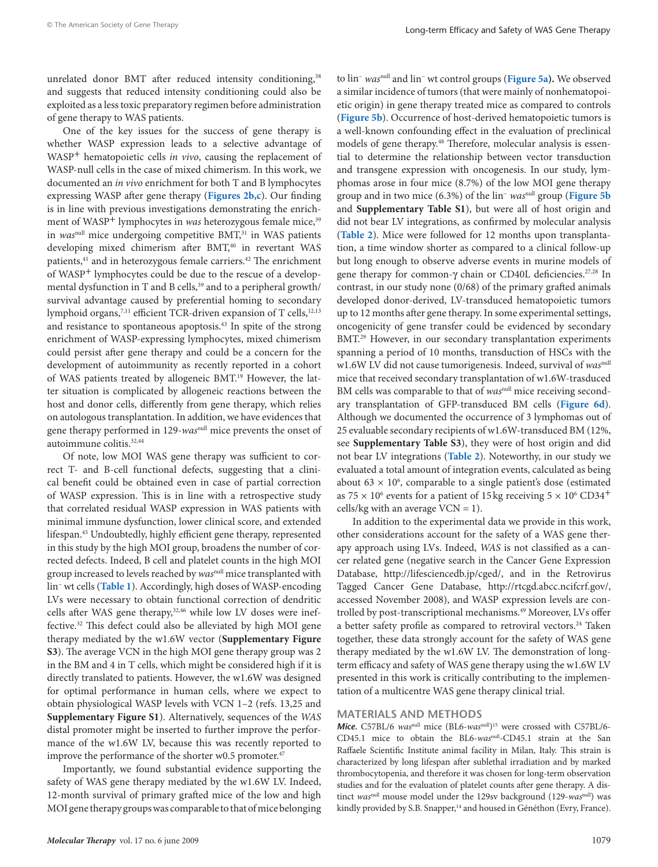unrelated donor BMT after reduced intensity conditioning,<sup>38</sup> and suggests that reduced intensity conditioning could also be exploited as a less toxic preparatory regimen before administration of gene therapy to WAS patients.

One of the key issues for the success of gene therapy is whether WASP expression leads to a selective advantage of WASP<sup>+</sup> hematopoietic cells *in vivo*, causing the replacement of WASP-null cells in the case of mixed chimerism. In this work, we documented an *in vivo* enrichment for both T and B lymphocytes expressing WASP after gene therapy (**[Figures 2b,c](#page-2-0)**). Our finding is in line with previous investigations demonstrating the enrichment of WASP<sup>+</sup> lymphocytes in *was* heterozygous female mice,<sup>39</sup> in *was*<sup>null</sup> mice undergoing competitive BMT,<sup>31</sup> in WAS patients developing mixed chimerism after BMT,<sup>40</sup> in revertant WAS patients,<sup>41</sup> and in heterozygous female carriers.<sup>42</sup> The enrichment of WASP+ lymphocytes could be due to the rescue of a developmental dysfunction in T and B cells,<sup>39</sup> and to a peripheral growth/ survival advantage caused by preferential homing to secondary lymphoid organs,<sup>7,11</sup> efficient TCR-driven expansion of T cells,<sup>12,13</sup> and resistance to spontaneous apoptosis.<sup>43</sup> In spite of the strong enrichment of WASP-expressing lymphocytes, mixed chimerism could persist after gene therapy and could be a concern for the development of autoimmunity as recently reported in a cohort of WAS patients treated by allogeneic BMT.19 However, the latter situation is complicated by allogeneic reactions between the host and donor cells, differently from gene therapy, which relies on autologous transplantation. In addition, we have evidences that gene therapy performed in 129-*was*null mice prevents the onset of autoimmune colitis.<sup>32,44</sup>

Of note, low MOI WAS gene therapy was sufficient to correct T- and B-cell functional defects, suggesting that a clinical benefit could be obtained even in case of partial correction of WASP expression. This is in line with a retrospective study that correlated residual WASP expression in WAS patients with minimal immune dysfunction, lower clinical score, and extended lifespan.45 Undoubtedly, highly efficient gene therapy, represented in this study by the high MOI group, broadens the number of corrected defects. Indeed, B cell and platelet counts in the high MOI group increased to levels reached by *was*null mice transplanted with lin− wt cells (**[Table](#page-3-0) 1**). Accordingly, high doses of WASP-encoding LVs were necessary to obtain functional correction of dendritic cells after WAS gene therapy,<sup>32,46</sup> while low LV doses were ineffective.32 This defect could also be alleviated by high MOI gene therapy mediated by the w1.6W vector (**Supplementary Figure S3**). The average VCN in the high MOI gene therapy group was 2 in the BM and 4 in T cells, which might be considered high if it is directly translated to patients. However, the w1.6W was designed for optimal performance in human cells, where we expect to obtain physiological WASP levels with VCN 1–2 (refs. 13,25 and **Supplementary Figure S1**). Alternatively, sequences of the *WAS* distal promoter might be inserted to further improve the performance of the w1.6W LV, because this was recently reported to improve the performance of the shorter w0.5 promoter.<sup>47</sup>

Importantly, we found substantial evidence supporting the safety of WAS gene therapy mediated by the w1.6W LV. Indeed, 12-month survival of primary grafted mice of the low and high MOI gene therapy groups was comparable to that of mice belonging to lin− *was*null and lin− wt control groups (**[Figure](#page-4-0) 5a).** We observed a similar incidence of tumors (that were mainly of nonhematopoietic origin) in gene therapy treated mice as compared to controls (**[Figure](#page-4-0) 5b**). Occurrence of host-derived hematopoietic tumors is a well-known confounding effect in the evaluation of preclinical models of gene therapy.<sup>48</sup> Therefore, molecular analysis is essential to determine the relationship between vector transduction and transgene expression with oncogenesis. In our study, lymphomas arose in four mice (8.7%) of the low MOI gene therapy group and in two mice (6.3%) of the lin− *was*null group (**[Figure](#page-4-0) 5b** and **Supplementary Table S1**), but were all of host origin and did not bear LV integrations, as confirmed by molecular analysis (**[Table](#page-5-0) 2**). Mice were followed for 12 months upon transplantation, a time window shorter as compared to a clinical follow-up but long enough to observe adverse events in murine models of gene therapy for common-γ chain or CD40L deficiencies.<sup>27,28</sup> In contrast, in our study none (0/68) of the primary grafted animals developed donor-derived, LV-transduced hematopoietic tumors up to 12 months after gene therapy. In some experimental settings, oncogenicity of gene transfer could be evidenced by secondary BMT.29 However, in our secondary transplantation experiments spanning a period of 10 months, transduction of HSCs with the w1.6W LV did not cause tumorigenesis. Indeed, survival of *was*null mice that received secondary transplantation of w1.6W-trasduced BM cells was comparable to that of wasnull mice receiving secondary transplantation of GFP-transduced BM cells (**[Figure](#page-4-0) 6d**). Although we documented the occurrence of 3 lymphomas out of 25 evaluable secondary recipients of w1.6W-transduced BM (12%, see **Supplementary Table S3**), they were of host origin and did not bear LV integrations (**[Table](#page-5-0) 2**). Noteworthy, in our study we evaluated a total amount of integration events, calculated as being about  $63 \times 10^6$ , comparable to a single patient's dose (estimated as  $75 \times 10^6$  events for a patient of 15 kg receiving  $5 \times 10^6$  CD34<sup>+</sup> cells/kg with an average  $VCN = 1$ ).

In addition to the experimental data we provide in this work, other considerations account for the safety of a WAS gene therapy approach using LVs. Indeed, *WAS* is not classified as a cancer related gene (negative search in the Cancer Gene Expression Database, http://lifesciencedb.jp/cged/, and in the Retrovirus Tagged Cancer Gene Database, http://rtcgd.abcc.ncifcrf.gov/, accessed November 2008), and WASP expression levels are controlled by post-transcriptional mechanisms.<sup>49</sup> Moreover, LVs offer a better safety profile as compared to retroviral vectors.<sup>24</sup> Taken together, these data strongly account for the safety of WAS gene therapy mediated by the w1.6W LV. The demonstration of longterm efficacy and safety of WAS gene therapy using the w1.6W LV presented in this work is critically contributing to the implementation of a multicentre WAS gene therapy clinical trial.

#### **Materials And Methods**

*Mice.* C57BL/6 *was<sup>null</sup>* mice (BL6-*was<sup>null</sup>*)<sup>15</sup> were crossed with C57BL/6-CD45.1 mice to obtain the BL6-*was*null-CD45.1 strain at the San Raffaele Scientific Institute animal facility in Milan, Italy. This strain is characterized by long lifespan after sublethal irradiation and by marked thrombocytopenia, and therefore it was chosen for long-term observation studies and for the evaluation of platelet counts after gene therapy. A distinct *was*null mouse model under the 129sv background (129-*was*null) was kindly provided by S.B. Snapper,<sup>14</sup> and housed in Généthon (Evry, France).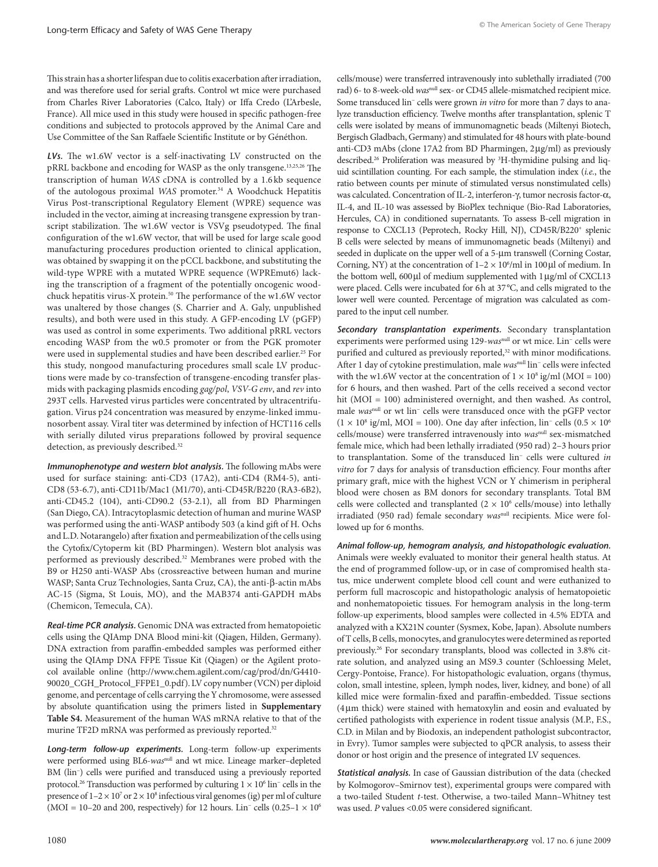Thisstrain has a shorter lifespan due to colitis exacerbation after irradiation, and was therefore used for serial grafts. Control wt mice were purchased from Charles River Laboratories (Calco, Italy) or Iffa Credo (L'Arbesle, France). All mice used in this study were housed in specific pathogen-free conditions and subjected to protocols approved by the Animal Care and Use Committee of the San Raffaele Scientific Institute or by Généthon.

*LVs.* The w1.6W vector is a self-inactivating LV constructed on the pRRL backbone and encoding for WASP as the only transgene.13,25,26 The transcription of human *WAS* cDNA is controlled by a 1.6 kb sequence of the autologous proximal *WAS* promoter.34 A Woodchuck Hepatitis Virus Post-transcriptional Regulatory Element (WPRE) sequence was included in the vector, aiming at increasing transgene expression by transcript stabilization. The w1.6W vector is VSVg pseudotyped. The final configuration of the w1.6W vector, that will be used for large scale good manufacturing procedures production oriented to clinical application, was obtained by swapping it on the pCCL backbone, and substituting the wild-type WPRE with a mutated WPRE sequence (WPREmut6) lacking the transcription of a fragment of the potentially oncogenic woodchuck hepatitis virus-X protein.<sup>50</sup> The performance of the w1.6W vector was unaltered by those changes (S. Charrier and A. Galy, unpublished results), and both were used in this study. A GFP-encoding LV (pGFP) was used as control in some experiments. Two additional pRRL vectors encoding WASP from the w0.5 promoter or from the PGK promoter were used in supplemental studies and have been described earlier.<sup>25</sup> For this study, nongood manufacturing procedures small scale LV productions were made by co-transfection of transgene-encoding transfer plasmids with packaging plasmids encoding *gag/pol*, *VSV-G env*, and *rev* into 293T cells. Harvested virus particles were concentrated by ultracentrifugation. Virus p24 concentration was measured by enzyme-linked immunosorbent assay. Viral titer was determined by infection of HCT116 cells with serially diluted virus preparations followed by proviral sequence detection, as previously described.<sup>32</sup>

*Immunophenotype and western blot analysis.* The following mAbs were used for surface staining: anti-CD3 (17A2), anti-CD4 (RM4-5), anti-CD8 (53-6.7), anti-CD11b/Mac1 (M1/70), anti-CD45R/B220 (RA3-6B2), anti-CD45.2 (104), anti-CD90.2 (53-2.1), all from BD Pharmingen (San Diego, CA). Intracytoplasmic detection of human and murine WASP was performed using the anti-WASP antibody 503 (a kind gift of H. Ochs and L.D. Notarangelo) after fixation and permeabilization of the cells using the Cytofix/Cytoperm kit (BD Pharmingen). Western blot analysis was performed as previously described.32 Membranes were probed with the B9 or H250 anti-WASP Abs (crossreactive between human and murine WASP; Santa Cruz Technologies, Santa Cruz, CA), the anti-β-actin mAbs AC-15 (Sigma, St Louis, MO), and the MAB374 anti-GAPDH mAbs (Chemicon, Temecula, CA).

*Real-time PCR analysis.* Genomic DNA was extracted from hematopoietic cells using the QIAmp DNA Blood mini-kit (Qiagen, Hilden, Germany). DNA extraction from paraffin-embedded samples was performed either using the QIAmp DNA FFPE Tissue Kit (Qiagen) or the Agilent protocol available online (http://www.chem.agilent.com/cag/prod/dn/G4410- 90020\_CGH\_Protocol\_FFPE1\_0.pdf). LV copy number (VCN) per diploid genome, and percentage of cells carrying the Y chromosome, were assessed by absolute quantification using the primers listed in **Supplementary Table S4.** Measurement of the human WAS mRNA relative to that of the murine TF2D mRNA was performed as previously reported.<sup>32</sup>

*Long-term follow-up experiments.* Long-term follow-up experiments were performed using BL6-*was*null and wt mice. Lineage marker–depleted BM (lin− ) cells were purified and transduced using a previously reported protocol.<sup>26</sup> Transduction was performed by culturing  $1 \times 10^6$  lin<sup>-</sup> cells in the presence of  $1-2 \times 10^7$  or  $2 \times 10^8$  infectious viral genomes (ig) per ml of culture (MOI = 10–20 and 200, respectively) for 12 hours. Lin<sup>-</sup> cells (0.25–1  $\times$  10<sup>6</sup>

cells/mouse) were transferred intravenously into sublethally irradiated (700 rad) 6- to 8-week-old wasnull sex- or CD45 allele-mismatched recipient mice. Some transduced lin− cells were grown *in vitro* for more than 7 days to analyze transduction efficiency. Twelve months after transplantation, splenic T cells were isolated by means of immunomagnetic beads (Miltenyi Biotech, Bergisch Gladbach, Germany) and stimulated for 48 hours with plate-bound anti-CD3 mAbs (clone 17A2 from BD Pharmingen, 2μg/ml) as previously described.26 Proliferation was measured by 3 H-thymidine pulsing and liquid scintillation counting. For each sample, the stimulation index (*i.e.*, the ratio between counts per minute of stimulated versus nonstimulated cells) was calculated. Concentration of IL-2, interferon-γ, tumor necrosis factor-α, IL-4, and IL-10 was assessed by BioPlex technique (Bio-Rad Laboratories, Hercules, CA) in conditioned supernatants. To assess B-cell migration in response to CXCL13 (Peprotech, Rocky Hill, NJ), CD45R/B220+ splenic B cells were selected by means of immunomagnetic beads (Miltenyi) and seeded in duplicate on the upper well of a 5-μm transwell (Corning Costar, Corning, NY) at the concentration of  $1-2 \times 10^6$ /ml in 100 µl of medium. In the bottom well, 600μl of medium supplemented with 1μg/ml of CXCL13 were placed. Cells were incubated for 6h at 37°C, and cells migrated to the lower well were counted. Percentage of migration was calculated as compared to the input cell number.

*Secondary transplantation experiments.* Secondary transplantation experiments were performed using 129-*was*null or wt mice. Lin− cells were purified and cultured as previously reported,<sup>32</sup> with minor modifications. After 1 day of cytokine prestimulation, male *was*null lin− cells were infected with the w1.6W vector at the concentration of  $1 \times 10^8$  ig/ml (MOI = 100) for 6 hours, and then washed. Part of the cells received a second vector hit (MOI = 100) administered overnight, and then washed. As control, male *was*null or wt lin− cells were transduced once with the pGFP vector  $(1 \times 10^8 \text{ ig/ml}, \text{MOI} = 100)$ . One day after infection, lin<sup>−</sup> cells  $(0.5 \times 10^6 \text{ g/mol}, \text{MOI} = 100)$ . cells/mouse) were transferred intravenously into *was*null sex-mismatched female mice, which had been lethally irradiated (950 rad) 2–3 hours prior to transplantation. Some of the transduced lin− cells were cultured *in vitro* for 7 days for analysis of transduction efficiency. Four months after primary graft, mice with the highest VCN or Y chimerism in peripheral blood were chosen as BM donors for secondary transplants. Total BM cells were collected and transplanted  $(2 \times 10^6 \text{ cells/mouse})$  into lethally irradiated (950 rad) female secondary *was*null recipients. Mice were followed up for 6 months.

*Animal follow-up, hemogram analysis, and histopathologic evaluation.* Animals were weekly evaluated to monitor their general health status. At the end of programmed follow-up, or in case of compromised health status, mice underwent complete blood cell count and were euthanized to perform full macroscopic and histopathologic analysis of hematopoietic and nonhematopoietic tissues. For hemogram analysis in the long-term follow-up experiments, blood samples were collected in 4.5% EDTA and analyzed with a KX21N counter (Sysmex, Kobe, Japan). Absolute numbers of T cells, B cells, monocytes, and granulocytes were determined as reported previously.26 For secondary transplants, blood was collected in 3.8% citrate solution, and analyzed using an MS9.3 counter (Schloessing Melet, Cergy-Pontoise, France). For histopathologic evaluation, organs (thymus, colon, small intestine, spleen, lymph nodes, liver, kidney, and bone) of all killed mice were formalin-fixed and paraffin-embedded. Tissue sections (4μm thick) were stained with hematoxylin and eosin and evaluated by certified pathologists with experience in rodent tissue analysis (M.P., F.S., C.D. in Milan and by Biodoxis, an independent pathologist subcontractor, in Evry). Tumor samples were subjected to qPCR analysis, to assess their donor or host origin and the presence of integrated LV sequences.

*Statistical analysis.* In case of Gaussian distribution of the data (checked by Kolmogorov–Smirnov test), experimental groups were compared with a two-tailed Student *t*-test. Otherwise, a two-tailed Mann–Whitney test was used. *P* values <0.05 were considered significant.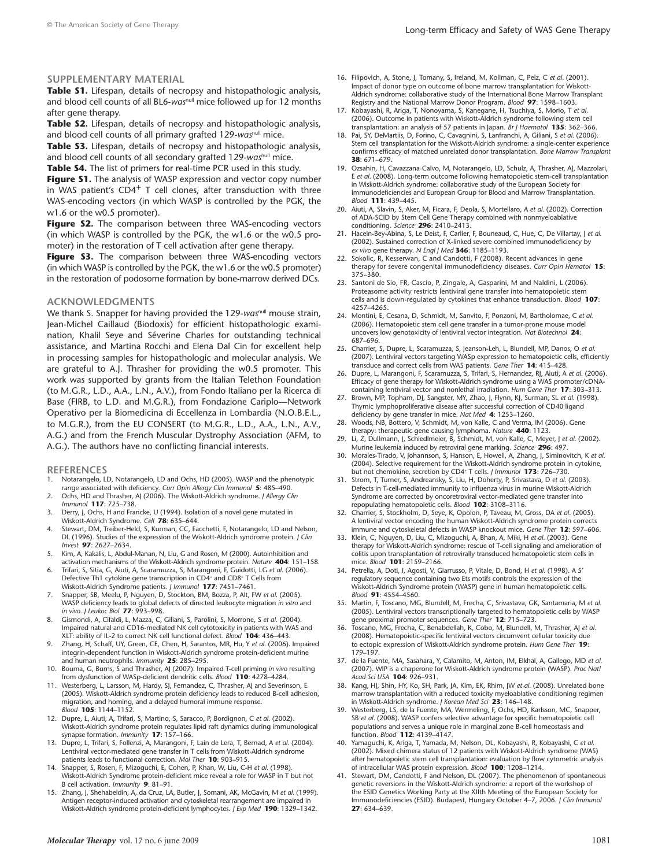#### **Supplementary Material**

**Table S1.** Lifespan, details of necropsy and histopathologic analysis, and blood cell counts of all BL6-*was*null mice followed up for 12 months after gene therapy.

**Table S2.** Lifespan, details of necropsy and histopathologic analysis, and blood cell counts of all primary grafted 129-*was*null mice.

**Table S3.** Lifespan, details of necropsy and histopathologic analysis, and blood cell counts of all secondary grafted 129-wasnull mice.

Table 54. The list of primers for real-time PCR used in this study.

**Figure S1.** The analysis of WASP expression and vector copy number in WAS patient's  $CD4^+$  T cell clones, after transduction with three WAS-encoding vectors (in which WASP is controlled by the PGK, the w1.6 or the w0.5 promoter).

Figure S2. The comparison between three WAS-encoding vectors (in which WASP is controlled by the PGK, the w1.6 or the w0.5 promoter) in the restoration of T cell activation after gene therapy.

Figure 53. The comparison between three WAS-encoding vectors (in which WASP is controlled by the PGK, the w1.6 or the w0.5 promoter) in the restoration of podosome formation by bone-marrow derived DCs.

#### **Acknowledgments**

We thank S. Snapper for having provided the 129-wasnull mouse strain, Jean-Michel Caillaud (Biodoxis) for efficient histopathologic examination, Khalil Seye and Séverine Charles for outstanding technical assistance, and Martina Rocchi and Elena Dal Cin for excellent help in processing samples for histopathologic and molecular analysis. We are grateful to A.J. Thrasher for providing the w0.5 promoter. This work was supported by grants from the Italian Telethon Foundation (to M.G.R., L.D., A.A., L.N., A.V.), from Fondo Italiano per la Ricerca di Base (FIRB, to L.D. and M.G.R.), from Fondazione Cariplo—Network Operativo per la Biomedicina di Eccellenza in Lombardia (N.O.B.E.L., to M.G.R.), from the EU CONSERT (to M.G.R., L.D., A.A., L.N., A.V., A.G.) and from the French Muscular Dystrophy Association (AFM, to A.G.). The authors have no conflicting financial interests.

#### **References**

- Notarangelo, LD, Notarangelo, LD and Ochs, HD (2005). WASP and the phenotypic range associated with deficiency. *Curr Opin Allergy Clin Immunol* **5**: 485–490.
- 2. Ochs, HD and Thrasher, AJ (2006). The Wiskott-Aldrich syndrome. *J Allergy Clin Immunol* **117**: 725–738.
- 3. Derry, J, Ochs, H and Francke, U (1994). Isolation of a novel gene mutated in Wiskott-Aldrich Syndrome. *Cell* **78**: 635–644.
- Stewart, DM, Treiber-Held, S, Kurman, CC, Facchetti, F, Notarangelo, LD and Nelson, DL (1996). Studies of the expression of the Wiskott-Aldrich syndrome protein. *J Clin Invest* **97**: 2627–2634.
- Kim, A, Kakalis, L, Abdul-Manan, N, Liu, G and Rosen, M (2000). Autoinhibition and
- activation mechanisms of the Wiskott-Aldrich syndrome protein. *Nature* **404**: 151–158. 6. Trifari, S, Sitia, G, Aiuti, A, Scaramuzza, S, Marangoni, F, Guidotti, LG *et al*. (2006). Defective Th1 cytokine gene transcription in CD4<sup>+</sup> and CD8<sup>+</sup> T Cells from Wiskott-Aldrich Syndrome patients. *J Immunol* **177**: 7451–7461.
- 7. Snapper, SB, Meelu, P, Nguyen, D, Stockton, BM, Bozza, P, Alt, FW *et al*. (2005). WASP deficiency leads to global defects of directed leukocyte migration *in vitro* and *in vivo*. *J Leukoc Biol* **77**: 993–998.
- 8. Gismondi, A, Cifaldi, L, Mazza, C, Giliani, S, Parolini, S, Morrone, S *et al*. (2004). Impaired natural and CD16-mediated NK cell cytotoxicity in patients with WAS and XLT: ability of IL-2 to correct NK cell functional defect. *Blood* **104**: 436–443.
- 9. Zhang, H, Schaff, UY, Green, CE, Chen, H, Sarantos, MR, Hu, Y *et al*. (2006). Impaired integrin-dependent function in Wiskott-Aldrich syndrome protein-deficient murine and human neutrophils. *Immunity* **25**: 285–295.
- 10. Bouma, G, Burns, S and Thrasher, AJ (2007). Impaired T-cell priming *in vivo* resulting from dysfunction of WASp-deficient dendritic cells. *Blood* **110**: 4278–4284.
- 11. Westerberg, L, Larsson, M, Hardy, SJ, Fernandez, C, Thrasher, AJ and Severinson, E (2005). Wiskott-Aldrich syndrome protein deficiency leads to reduced B-cell adhesion, migration, and homing, and a delayed humoral immune response. *Blood* **105**: 1144–1152.
- 12. Dupre, L, Aiuti, A, Trifari, S, Martino, S, Saracco, P, Bordignon, C *et al*. (2002). Wiskott-Aldrich syndrome protein regulates lipid raft dynamics during immunological synapse formation. *Immunity* **17**: 157–166.
- 13. Dupre, L, Trifari, S, Follenzi, A, Marangoni, F, Lain de Lera, T, Bernad, A *et al*. (2004). Lentiviral vector-mediated gene transfer in T cells from Wiskott-Aldrich syndrome patients leads to functional correction. *Mol Ther* **10**: 903–915.
- 14. Snapper, S, Rosen, F, Mizoguchi, E, Cohen, P, Khan, W, Liu, C-H *et al*. (1998). Wiskott-Aldrich Syndrome protein-deficient mice reveal a role for WASP in T but not B cell activation. *Immunity* **9**: 81–91.
- 15. Zhang, J, Shehabeldin, A, da Cruz, LA, Butler, J, Somani, AK, McGavin, M *et al*. (1999). Antigen receptor-induced activation and cytoskeletal rearrangement are impaired in Wiskott-Aldrich syndrome protein-deficient lymphocytes. *J Exp Med* **190**: 1329–1342.
- 16. Filipovich, A, Stone, J, Tomany, S, Ireland, M, Kollman, C, Pelz, C *et al*. (2001). Impact of donor type on outcome of bone marrow transplantation for Wiskott-Aldrich syndrome: collaborative study of the International Bone Marrow Transplant Registry and the National Marrow Donor Program. *Blood* **97**: 1598–1603.
- 17. Kobayashi, R, Ariga, T, Nonoyama, S, Kanegane, H, Tsuchiya, S, Morio, T *et al*. (2006). Outcome in patients with Wiskott-Aldrich syndrome following stem cell transplantation: an analysis of 57 patients in Japan. *Br J Haematol* **135**: 362–366.
- 18. Pai, SY, DeMartiis, D, Forino, C, Cavagnini, S, Lanfranchi, A, Giliani, S *et al*. (2006). Stem cell transplantation for the Wiskott-Aldrich syndrome: a single-center experience confirms efficacy of matched unrelated donor transplantation. *Bone Marrow Transplant* **38**: 671–679.
- 19. Ozsahin, H, Cavazzana-Calvo, M, Notarangelo, LD, Schulz, A, Thrasher, AJ, Mazzolari, E *et al*. (2008). Long-term outcome following hematopoietic stem-cell transplantation in Wiskott-Aldrich syndrome: collaborative study of the European Society for Immunodeficiencies and European Group for Blood and Marrow Transplantation. *Blood* **111**: 439–445.
- 20. Aiuti, A, Slavin, S, Aker, M, Ficara, F, Deola, S, Mortellaro, A *et al*. (2002). Correction of ADA-SCID by Stem Cell Gene Therapy combined with nonmyeloablative conditioning. *Science* **296**: 2410–2413.
- 21. Hacein-Bey-Abina, S, Le Deist, F, Carlier, F, Bouneaud, C, Hue, C, De Villartay, J *et al*. (2002). Sustained correction of X-linked severe combined immunodeficiency by *ex vivo* gene therapy. *N Engl J Med* **346**: 1185–1193.
- 22. Sokolic, R, Kesserwan, C and Candotti, F (2008). Recent advances in gene therapy for severe congenital immunodeficiency diseases. *Curr Opin Hematol* **15**: 375–380.
- 23. Santoni de Sio, FR, Cascio, P, Zingale, A, Gasparini, M and Naldini, L (2006). Proteasome activity restricts lentiviral gene transfer into hematopoietic stem cells and is down-regulated by cytokines that enhance transduction. *Blood* **107**: 4257–4265.
- 24. Montini, E, Cesana, D, Schmidt, M, Sanvito, F, Ponzoni, M, Bartholomae, C *et al*. (2006). Hematopoietic stem cell gene transfer in a tumor-prone mouse model uncovers low genotoxicity of lentiviral vector integration. *Nat Biotechnol* **24**: 687–696.
- 25. Charrier, S, Dupre, L, Scaramuzza, S, Jeanson-Leh, L, Blundell, MP, Danos, O *et al*. (2007). Lentiviral vectors targeting WASp expression to hematopoietic cells, efficiently transduce and correct cells from WAS patients. *Gene Ther* **14**: 415–428.
- 26. Dupre, L, Marangoni, F, Scaramuzza, S, Trifari, S, Hernandez, RJ, Aiuti, A *et al*. (2006). Efficacy of gene therapy for Wiskott-Aldrich syndrome using a WAS promoter/cDNAcontaining lentiviral vector and nonlethal irradiation. *Hum Gene Ther* **17**: 303–313.
- 27. Brown, MP, Topham, DJ, Sangster, MY, Zhao, J, Flynn, KJ, Surman, SL *et al*. (1998). Thymic lymphoproliferative disease after successful correction of CD40 ligand deficiency by gene transfer in mice. *Nat Med* **4**: 1253–1260.
- 28. Woods, NB, Bottero, V, Schmidt, M, von Kalle, C and Verma, IM (2006). Gene therapy: therapeutic gene causing lymphoma. *Nature* **440**: 1123.
- 29. Li, Z, Dullmann, J, Schiedlmeier, B, Schmidt, M, von Kalle, C, Meyer, J *et al*. (2002). Murine leukemia induced by retroviral gene marking. *Science* **296**: 497.
- 30. Morales-Tirado, V, Johannson, S, Hanson, E, Howell, A, Zhang, J, Siminovitch, K *et al*. (2004). Selective requirement for the Wiskott-Aldrich syndrome protein in cytokine, but not chemokine, secretion by CD4+ T cells. *J Immunol* **173**: 726–730.
- 31. Strom, T, Turner, S, Andreansky, S, Liu, H, Doherty, P, Srivastava, D *et al*. (2003). Defects in T-cell-mediated immunity to influenza virus in murine Wiskott-Aldrich Syndrome are corrected by oncoretroviral vector-mediated gene transfer into repopulating hematopoietic cells. *Blood* **102**: 3108–3116.
- 32. Charrier, S, Stockholm, D, Seye, K, Opolon, P, Taveau, M, Gross, DA *et al*. (2005). A lentiviral vector encoding the human Wiskott-Aldrich syndrome protein corrects immune and cytoskeletal defects in WASP knockout mice. *Gene Ther* **12**: 597–606.
- 33. Klein, C, Nguyen, D, Liu, C, Mizoguchi, A, Bhan, A, Miki, H *et al*. (2003). Gene therapy for Wiskott-Aldrich syndrome: rescue of T-cell signaling and amelioration of colitis upon transplantation of retrovirally transduced hematopoietic stem cells in mice. *Blood* **101**: 2159–2166.
- 34. Petrella, A, Doti, I, Agosti, V, Giarrusso, P, Vitale, D, Bond, H *et al*. (1998). A 5′ regulatory sequence containing two Ets motifs controls the expression of the Wiskott-Aldrich Syndrome protein (WASP) gene in human hematopoietic cells. *Blood* **91**: 4554–4560.
- 35. Martin, F, Toscano, MG, Blundell, M, Frecha, C, Srivastava, GK, Santamaria, M *et al*. (2005). Lentiviral vectors transcriptionally targeted to hematopoietic cells by WASP gene proximal promoter sequences. *Gene Ther* **12**: 715–723.
- 36. Toscano, MG, Frecha, C, Benabdellah, K, Cobo, M, Blundell, M, Thrasher, AJ *et al*. (2008). Hematopoietic-specific lentiviral vectors circumvent cellular toxicity due to ectopic expression of Wiskott-Aldrich syndrome protein. *Hum Gene Ther* **19**: 179–197.
- 37. de la Fuente, MA, Sasahara, Y, Calamito, M, Anton, IM, Elkhal, A, Gallego, MD *et al*. (2007). WIP is a chaperone for Wiskott-Aldrich syndrome protein (WASP). *Proc Natl Acad Sci USA* **104**: 926–931.
- 38. Kang, HJ, Shin, HY, Ko, SH, Park, JA, Kim, EK, Rhim, JW *et al*. (2008). Unrelated bone marrow transplantation with a reduced toxicity myeloablative conditioning regimen in Wiskott-Aldrich syndrome. *J Korean Med Sci* **23**: 146–148.
- 39. Westerberg, LS, de la Fuente, MA, Wermeling, F, Ochs, HD, Karlsson, MC, Snapper, SB *et al*. (2008). WASP confers selective advantage for specific hematopoietic cell populations and serves a unique role in marginal zone B-cell homeostasis and function. *Blood* **112**: 4139–4147.
- 40. Yamaguchi, K, Ariga, T, Yamada, M, Nelson, DL, Kobayashi, R, Kobayashi, C *et al*. (2002). Mixed chimera status of 12 patients with Wiskott-Aldrich syndrome (WAS) after hematopoietic stem cell transplantation: evaluation by flow cytometric analysis of intracellular WAS protein expression. *Blood* **100**: 1208–1214.
- 41. Stewart, DM, Candotti, F and Nelson, DL (2007). The phenomenon of spontaneous genetic reversions in the Wiskott-Aldrich syndrome: a report of the workshop of the ESID Genetics Working Party at the XIIth Meeting of the European Society for Immunodeficiencies (ESID). Budapest, Hungary October 4–7, 2006. *J Clin Immunol* **27**: 634–639.